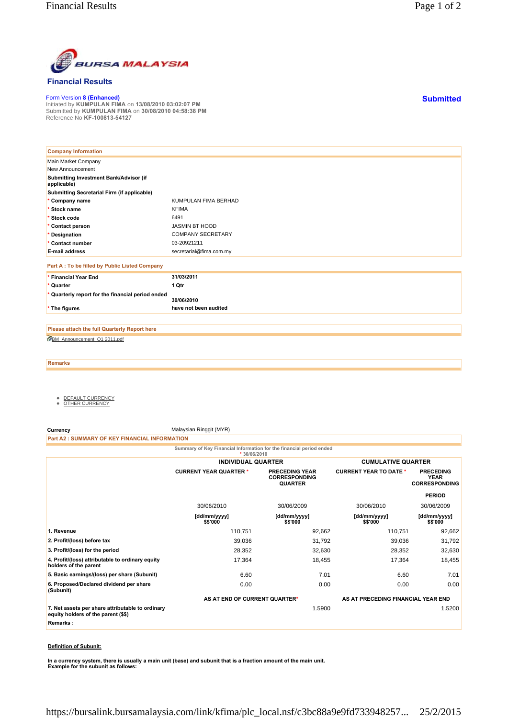

## **Financial Results**

Form Version **8 (Enhanced)** Initiated by **KUMPULAN FIMA** on **13/08/2010 03:02:07 PM** Submitted by **KUMPULAN FIMA** on **30/08/2010 04:58:38 PM** Reference No **KF-100813-54127**

| <b>Company Information</b>                            |                          |
|-------------------------------------------------------|--------------------------|
| Main Market Company                                   |                          |
| New Announcement                                      |                          |
| Submitting Investment Bank/Advisor (if<br>applicable) |                          |
| Submitting Secretarial Firm (if applicable)           |                          |
| * Company name                                        | KUMPULAN FIMA BERHAD     |
| * Stock name                                          | <b>KFIMA</b>             |
| * Stock code                                          | 6491                     |
| * Contact person                                      | <b>JASMIN BT HOOD</b>    |
| * Designation                                         | <b>COMPANY SECRETARY</b> |
| * Contact number                                      | 03-20921211              |
| <b>E-mail address</b>                                 | secretarial@fima.com.my  |
| Part A : To be filled by Public Listed Company        |                          |
| * Financial Year End                                  | 31/03/2011               |
| * Quarter                                             | 1 Qtr                    |
| * Quarterly report for the financial period ended     | 30/06/2010               |
| * The figures                                         | have not been audited    |

BM\_Announcement\_Q1 2011.pdf **Please attach the full Quarterly Report here**

**Remarks**

- <u>DEFAULT CURRENCY</u><br>● <u>OTHER CURRENCY</u>
- 

**Currency** Malaysian Ringgit (MYR)

**Part A2 : SUMMARY OF KEY FINANCIAL INFORMATION**

**Summary of Key Financial Information for the financial period ended**

|                                                                                         | $*30/06/2010$                 |                                                                 |                                    |                                                         |
|-----------------------------------------------------------------------------------------|-------------------------------|-----------------------------------------------------------------|------------------------------------|---------------------------------------------------------|
|                                                                                         | <b>INDIVIDUAL QUARTER</b>     |                                                                 | <b>CUMULATIVE QUARTER</b>          |                                                         |
|                                                                                         | <b>CURRENT YEAR QUARTER *</b> | <b>PRECEDING YEAR</b><br><b>CORRESPONDING</b><br><b>QUARTER</b> | <b>CURRENT YEAR TO DATE *</b>      | <b>PRECEDING</b><br><b>YEAR</b><br><b>CORRESPONDING</b> |
|                                                                                         |                               |                                                                 |                                    | <b>PERIOD</b>                                           |
|                                                                                         | 30/06/2010                    | 30/06/2009                                                      | 30/06/2010                         | 30/06/2009                                              |
|                                                                                         | [dd/mm/yyyy]<br>\$\$'000      | [dd/mm/yyyy]<br>\$\$'000                                        | [dd/mm/yyyy]<br>\$\$'000           | [dd/mm/yyyy]<br>\$\$'000                                |
| 1. Revenue                                                                              | 110,751                       | 92,662                                                          | 110,751                            | 92,662                                                  |
| 2. Profit/(loss) before tax                                                             | 39,036                        | 31,792                                                          | 39,036                             | 31,792                                                  |
| 3. Profit/(loss) for the period                                                         | 28,352                        | 32,630                                                          | 28,352                             | 32,630                                                  |
| 4. Profit/(loss) attributable to ordinary equity<br>holders of the parent               | 17,364                        | 18,455                                                          | 17,364                             | 18,455                                                  |
| 5. Basic earnings/(loss) per share (Subunit)                                            | 6.60                          | 7.01                                                            | 6.60                               | 7.01                                                    |
| 6. Proposed/Declared dividend per share<br>(Subunit)                                    | 0.00                          | 0.00                                                            | 0.00                               | 0.00                                                    |
|                                                                                         | AS AT END OF CURRENT QUARTER* |                                                                 | AS AT PRECEDING FINANCIAL YEAR END |                                                         |
| 7. Net assets per share attributable to ordinary<br>equity holders of the parent (\$\$) |                               | 1.5900                                                          |                                    | 1.5200                                                  |
| Remarks:                                                                                |                               |                                                                 |                                    |                                                         |
|                                                                                         |                               |                                                                 |                                    |                                                         |

## **Definition of Subunit:**

**In a currency system, there is usually a main unit (base) and subunit that is a fraction amount of the main unit. Example for the subunit as follows:**

**Submitted**